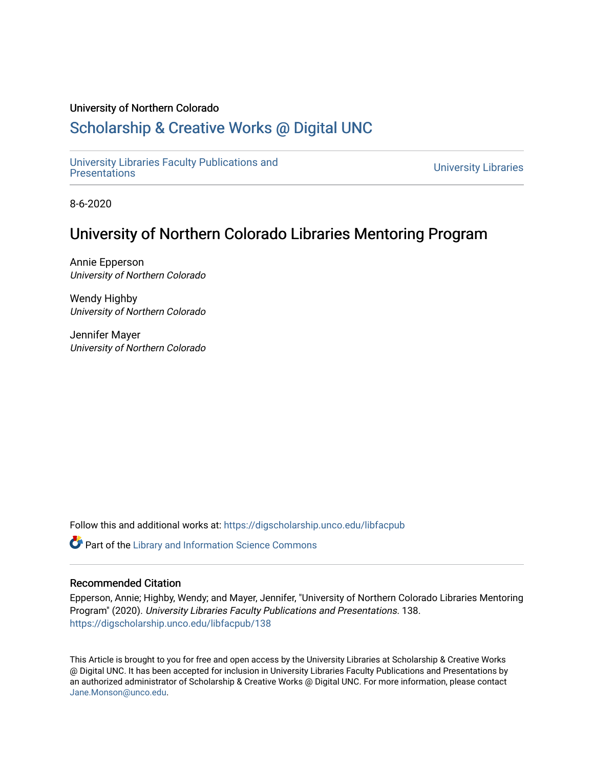#### University of Northern Colorado

# [Scholarship & Creative Works @ Digital UNC](https://digscholarship.unco.edu/)

[University Libraries Faculty Publications and](https://digscholarship.unco.edu/libfacpub)  [Presentations](https://digscholarship.unco.edu/libfacpub) [University Libraries](https://digscholarship.unco.edu/libraries) 

8-6-2020

# University of Northern Colorado Libraries Mentoring Program

Annie Epperson University of Northern Colorado

Wendy Highby University of Northern Colorado

Jennifer Mayer University of Northern Colorado

Follow this and additional works at: [https://digscholarship.unco.edu/libfacpub](https://digscholarship.unco.edu/libfacpub?utm_source=digscholarship.unco.edu%2Flibfacpub%2F138&utm_medium=PDF&utm_campaign=PDFCoverPages) 

Part of the [Library and Information Science Commons](http://network.bepress.com/hgg/discipline/1018?utm_source=digscholarship.unco.edu%2Flibfacpub%2F138&utm_medium=PDF&utm_campaign=PDFCoverPages) 

## Recommended Citation

Epperson, Annie; Highby, Wendy; and Mayer, Jennifer, "University of Northern Colorado Libraries Mentoring Program" (2020). University Libraries Faculty Publications and Presentations. 138. [https://digscholarship.unco.edu/libfacpub/138](https://digscholarship.unco.edu/libfacpub/138?utm_source=digscholarship.unco.edu%2Flibfacpub%2F138&utm_medium=PDF&utm_campaign=PDFCoverPages) 

This Article is brought to you for free and open access by the University Libraries at Scholarship & Creative Works @ Digital UNC. It has been accepted for inclusion in University Libraries Faculty Publications and Presentations by an authorized administrator of Scholarship & Creative Works @ Digital UNC. For more information, please contact [Jane.Monson@unco.edu.](mailto:Jane.Monson@unco.edu)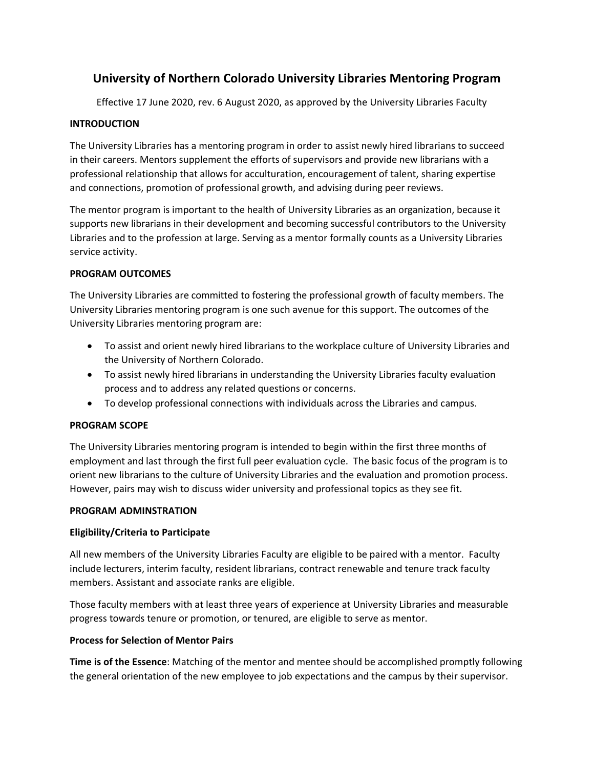## **University of Northern Colorado University Libraries Mentoring Program**

Effective 17 June 2020, rev. 6 August 2020, as approved by the University Libraries Faculty

## **INTRODUCTION**

The University Libraries has a mentoring program in order to assist newly hired librarians to succeed in their careers. Mentors supplement the efforts of supervisors and provide new librarians with a professional relationship that allows for acculturation, encouragement of talent, sharing expertise and connections, promotion of professional growth, and advising during peer reviews.

The mentor program is important to the health of University Libraries as an organization, because it supports new librarians in their development and becoming successful contributors to the University Libraries and to the profession at large. Serving as a mentor formally counts as a University Libraries service activity.

## **PROGRAM OUTCOMES**

The University Libraries are committed to fostering the professional growth of faculty members. The University Libraries mentoring program is one such avenue for this support. The outcomes of the University Libraries mentoring program are:

- To assist and orient newly hired librarians to the workplace culture of University Libraries and the University of Northern Colorado.
- To assist newly hired librarians in understanding the University Libraries faculty evaluation process and to address any related questions or concerns.
- To develop professional connections with individuals across the Libraries and campus.

## **PROGRAM SCOPE**

The University Libraries mentoring program is intended to begin within the first three months of employment and last through the first full peer evaluation cycle. The basic focus of the program is to orient new librarians to the culture of University Libraries and the evaluation and promotion process. However, pairs may wish to discuss wider university and professional topics as they see fit.

## **PROGRAM ADMINSTRATION**

## **Eligibility/Criteria to Participate**

All new members of the University Libraries Faculty are eligible to be paired with a mentor. Faculty include lecturers, interim faculty, resident librarians, contract renewable and tenure track faculty members. Assistant and associate ranks are eligible.

Those faculty members with at least three years of experience at University Libraries and measurable progress towards tenure or promotion, or tenured, are eligible to serve as mentor.

## **Process for Selection of Mentor Pairs**

**Time is of the Essence**: Matching of the mentor and mentee should be accomplished promptly following the general orientation of the new employee to job expectations and the campus by their supervisor.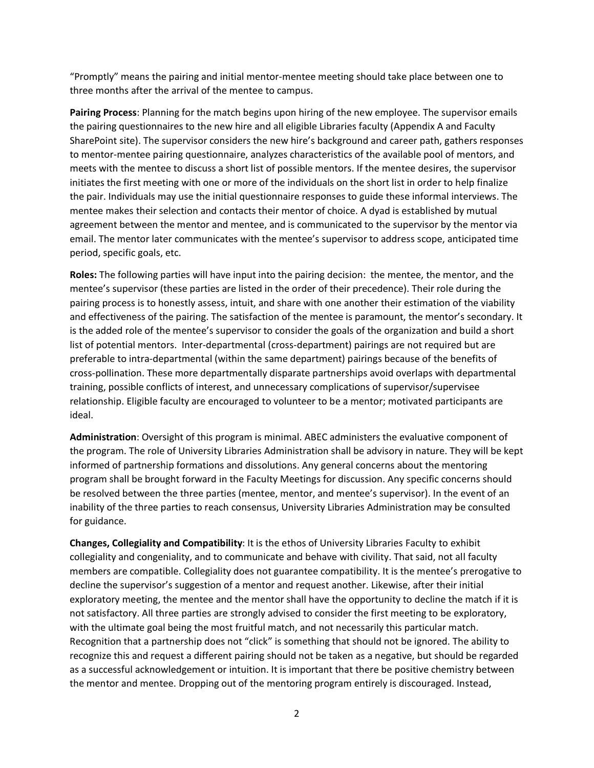"Promptly" means the pairing and initial mentor-mentee meeting should take place between one to three months after the arrival of the mentee to campus.

**Pairing Process**: Planning for the match begins upon hiring of the new employee. The supervisor emails the pairing questionnaires to the new hire and all eligible Libraries faculty (Appendix A and Faculty SharePoint site). The supervisor considers the new hire's background and career path, gathers responses to mentor-mentee pairing questionnaire, analyzes characteristics of the available pool of mentors, and meets with the mentee to discuss a short list of possible mentors. If the mentee desires, the supervisor initiates the first meeting with one or more of the individuals on the short list in order to help finalize the pair. Individuals may use the initial questionnaire responses to guide these informal interviews. The mentee makes their selection and contacts their mentor of choice. A dyad is established by mutual agreement between the mentor and mentee, and is communicated to the supervisor by the mentor via email. The mentor later communicates with the mentee's supervisor to address scope, anticipated time period, specific goals, etc.

**Roles:** The following parties will have input into the pairing decision: the mentee, the mentor, and the mentee's supervisor (these parties are listed in the order of their precedence). Their role during the pairing process is to honestly assess, intuit, and share with one another their estimation of the viability and effectiveness of the pairing. The satisfaction of the mentee is paramount, the mentor's secondary. It is the added role of the mentee's supervisor to consider the goals of the organization and build a short list of potential mentors. Inter-departmental (cross-department) pairings are not required but are preferable to intra-departmental (within the same department) pairings because of the benefits of cross-pollination. These more departmentally disparate partnerships avoid overlaps with departmental training, possible conflicts of interest, and unnecessary complications of supervisor/supervisee relationship. Eligible faculty are encouraged to volunteer to be a mentor; motivated participants are ideal.

**Administration**: Oversight of this program is minimal. ABEC administers the evaluative component of the program. The role of University Libraries Administration shall be advisory in nature. They will be kept informed of partnership formations and dissolutions. Any general concerns about the mentoring program shall be brought forward in the Faculty Meetings for discussion. Any specific concerns should be resolved between the three parties (mentee, mentor, and mentee's supervisor). In the event of an inability of the three parties to reach consensus, University Libraries Administration may be consulted for guidance.

**Changes, Collegiality and Compatibility**: It is the ethos of University Libraries Faculty to exhibit collegiality and congeniality, and to communicate and behave with civility. That said, not all faculty members are compatible. Collegiality does not guarantee compatibility. It is the mentee's prerogative to decline the supervisor's suggestion of a mentor and request another. Likewise, after their initial exploratory meeting, the mentee and the mentor shall have the opportunity to decline the match if it is not satisfactory. All three parties are strongly advised to consider the first meeting to be exploratory, with the ultimate goal being the most fruitful match, and not necessarily this particular match. Recognition that a partnership does not "click" is something that should not be ignored. The ability to recognize this and request a different pairing should not be taken as a negative, but should be regarded as a successful acknowledgement or intuition. It is important that there be positive chemistry between the mentor and mentee. Dropping out of the mentoring program entirely is discouraged. Instead,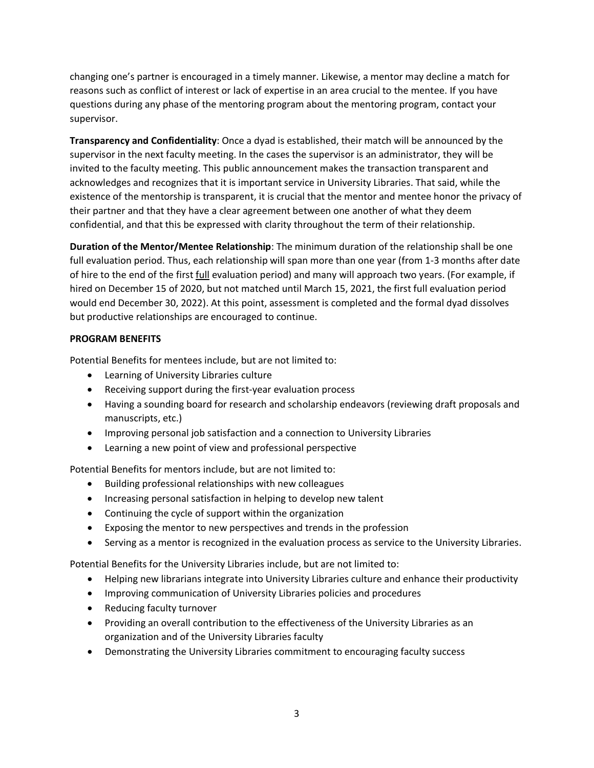changing one's partner is encouraged in a timely manner. Likewise, a mentor may decline a match for reasons such as conflict of interest or lack of expertise in an area crucial to the mentee. If you have questions during any phase of the mentoring program about the mentoring program, contact your supervisor.

**Transparency and Confidentiality**: Once a dyad is established, their match will be announced by the supervisor in the next faculty meeting. In the cases the supervisor is an administrator, they will be invited to the faculty meeting. This public announcement makes the transaction transparent and acknowledges and recognizes that it is important service in University Libraries. That said, while the existence of the mentorship is transparent, it is crucial that the mentor and mentee honor the privacy of their partner and that they have a clear agreement between one another of what they deem confidential, and that this be expressed with clarity throughout the term of their relationship.

**Duration of the Mentor/Mentee Relationship**: The minimum duration of the relationship shall be one full evaluation period. Thus, each relationship will span more than one year (from 1-3 months after date of hire to the end of the first full evaluation period) and many will approach two years. (For example, if hired on December 15 of 2020, but not matched until March 15, 2021, the first full evaluation period would end December 30, 2022). At this point, assessment is completed and the formal dyad dissolves but productive relationships are encouraged to continue.

## **PROGRAM BENEFITS**

Potential Benefits for mentees include, but are not limited to:

- Learning of University Libraries culture
- Receiving support during the first-year evaluation process
- Having a sounding board for research and scholarship endeavors (reviewing draft proposals and manuscripts, etc.)
- Improving personal job satisfaction and a connection to University Libraries
- Learning a new point of view and professional perspective

Potential Benefits for mentors include, but are not limited to:

- Building professional relationships with new colleagues
- Increasing personal satisfaction in helping to develop new talent
- Continuing the cycle of support within the organization
- Exposing the mentor to new perspectives and trends in the profession
- Serving as a mentor is recognized in the evaluation process as service to the University Libraries.

Potential Benefits for the University Libraries include, but are not limited to:

- Helping new librarians integrate into University Libraries culture and enhance their productivity
- Improving communication of University Libraries policies and procedures
- Reducing faculty turnover
- Providing an overall contribution to the effectiveness of the University Libraries as an organization and of the University Libraries faculty
- Demonstrating the University Libraries commitment to encouraging faculty success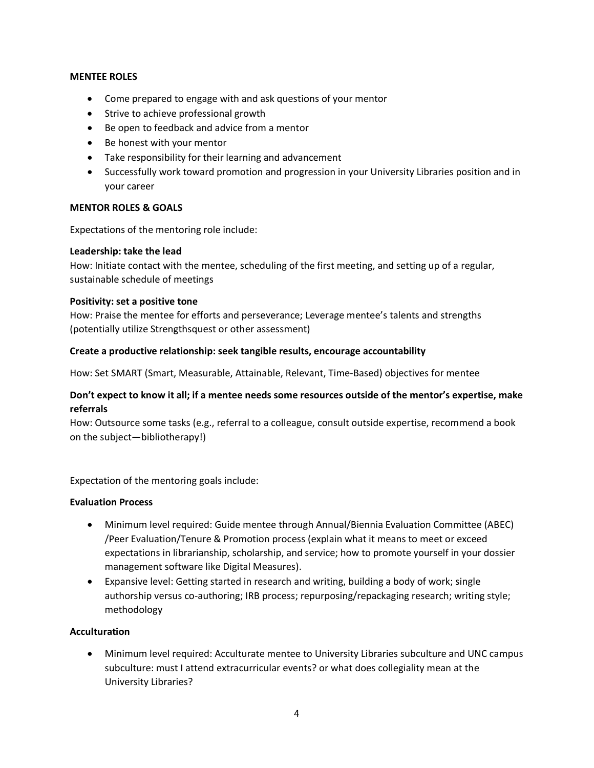#### **MENTEE ROLES**

- Come prepared to engage with and ask questions of your mentor
- Strive to achieve professional growth
- Be open to feedback and advice from a mentor
- Be honest with your mentor
- Take responsibility for their learning and advancement
- Successfully work toward promotion and progression in your University Libraries position and in your career

## **MENTOR ROLES & GOALS**

Expectations of the mentoring role include:

#### **Leadership: take the lead**

How: Initiate contact with the mentee, scheduling of the first meeting, and setting up of a regular, sustainable schedule of meetings

#### **Positivity: set a positive tone**

How: Praise the mentee for efforts and perseverance; Leverage mentee's talents and strengths (potentially utilize Strengthsquest or other assessment)

#### **Create a productive relationship: seek tangible results, encourage accountability**

How: Set SMART (Smart, Measurable, Attainable, Relevant, Time-Based) objectives for mentee

## **Don't expect to know it all; if a mentee needs some resources outside of the mentor's expertise, make referrals**

How: Outsource some tasks (e.g., referral to a colleague, consult outside expertise, recommend a book on the subject—bibliotherapy!)

Expectation of the mentoring goals include:

#### **Evaluation Process**

- Minimum level required: Guide mentee through Annual/Biennia Evaluation Committee (ABEC) /Peer Evaluation/Tenure & Promotion process (explain what it means to meet or exceed expectations in librarianship, scholarship, and service; how to promote yourself in your dossier management software like Digital Measures).
- Expansive level: Getting started in research and writing, building a body of work; single authorship versus co-authoring; IRB process; repurposing/repackaging research; writing style; methodology

## **Acculturation**

• Minimum level required: Acculturate mentee to University Libraries subculture and UNC campus subculture: must I attend extracurricular events? or what does collegiality mean at the University Libraries?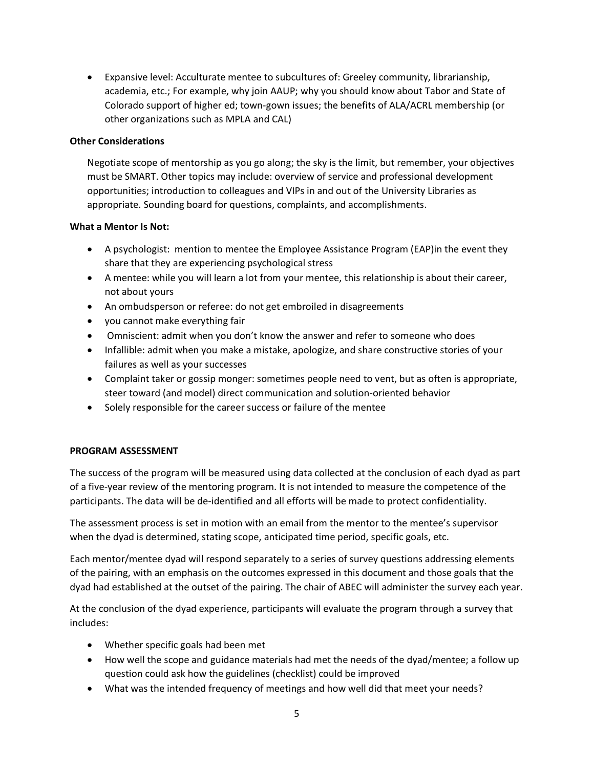• Expansive level: Acculturate mentee to subcultures of: Greeley community, librarianship, academia, etc.; For example, why join AAUP; why you should know about Tabor and State of Colorado support of higher ed; town-gown issues; the benefits of ALA/ACRL membership (or other organizations such as MPLA and CAL)

## **Other Considerations**

Negotiate scope of mentorship as you go along; the sky is the limit, but remember, your objectives must be SMART. Other topics may include: overview of service and professional development opportunities; introduction to colleagues and VIPs in and out of the University Libraries as appropriate. Sounding board for questions, complaints, and accomplishments.

## **What a Mentor Is Not:**

- A psychologist: mention to mentee the Employee Assistance Program (EAP)in the event they share that they are experiencing psychological stress
- A mentee: while you will learn a lot from your mentee, this relationship is about their career, not about yours
- An ombudsperson or referee: do not get embroiled in disagreements
- you cannot make everything fair
- Omniscient: admit when you don't know the answer and refer to someone who does
- Infallible: admit when you make a mistake, apologize, and share constructive stories of your failures as well as your successes
- Complaint taker or gossip monger: sometimes people need to vent, but as often is appropriate, steer toward (and model) direct communication and solution-oriented behavior
- Solely responsible for the career success or failure of the mentee

## **PROGRAM ASSESSMENT**

The success of the program will be measured using data collected at the conclusion of each dyad as part of a five-year review of the mentoring program. It is not intended to measure the competence of the participants. The data will be de-identified and all efforts will be made to protect confidentiality.

The assessment process is set in motion with an email from the mentor to the mentee's supervisor when the dyad is determined, stating scope, anticipated time period, specific goals, etc.

Each mentor/mentee dyad will respond separately to a series of survey questions addressing elements of the pairing, with an emphasis on the outcomes expressed in this document and those goals that the dyad had established at the outset of the pairing. The chair of ABEC will administer the survey each year.

At the conclusion of the dyad experience, participants will evaluate the program through a survey that includes:

- Whether specific goals had been met
- How well the scope and guidance materials had met the needs of the dyad/mentee; a follow up question could ask how the guidelines (checklist) could be improved
- What was the intended frequency of meetings and how well did that meet your needs?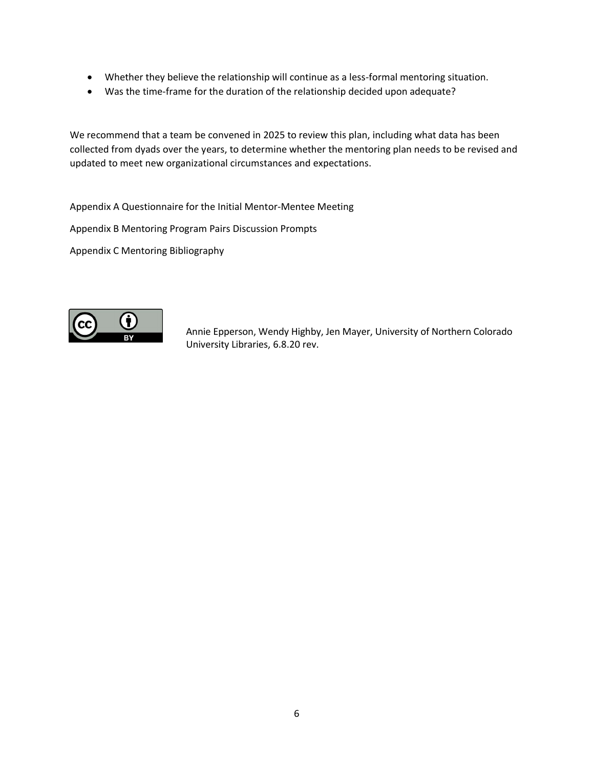- Whether they believe the relationship will continue as a less-formal mentoring situation.
- Was the time-frame for the duration of the relationship decided upon adequate?

We recommend that a team be convened in 2025 to review this plan, including what data has been collected from dyads over the years, to determine whether the mentoring plan needs to be revised and updated to meet new organizational circumstances and expectations.

Appendix A Questionnaire for the Initial Mentor-Mentee Meeting

Appendix B Mentoring Program Pairs Discussion Prompts

Appendix C Mentoring Bibliography



Annie Epperson, Wendy Highby, Jen Mayer, University of Northern Colorado University Libraries, 6.8.20 rev.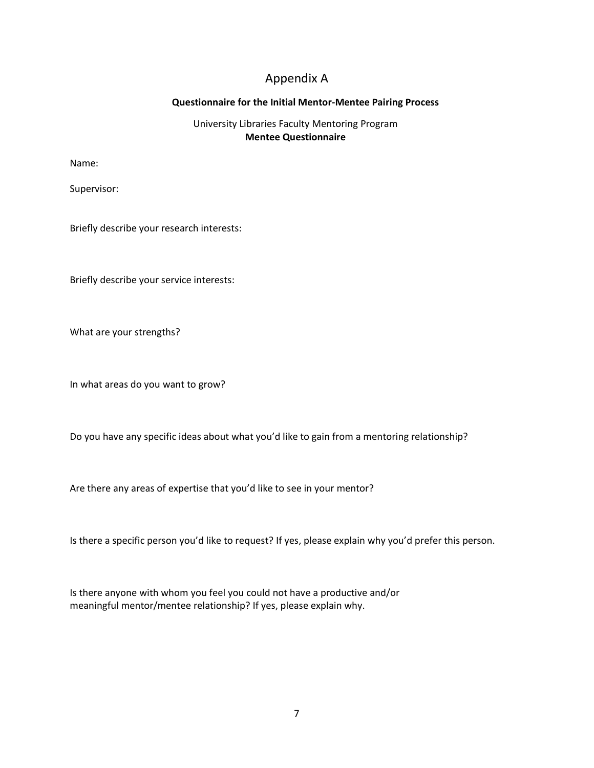## Appendix A

## **Questionnaire for the Initial Mentor-Mentee Pairing Process**

## University Libraries Faculty Mentoring Program **Mentee Questionnaire**

Name:

Supervisor:

Briefly describe your research interests:

Briefly describe your service interests:

What are your strengths?

In what areas do you want to grow?

Do you have any specific ideas about what you'd like to gain from a mentoring relationship?

Are there any areas of expertise that you'd like to see in your mentor?

Is there a specific person you'd like to request? If yes, please explain why you'd prefer this person.

Is there anyone with whom you feel you could not have a productive and/or meaningful mentor/mentee relationship? If yes, please explain why.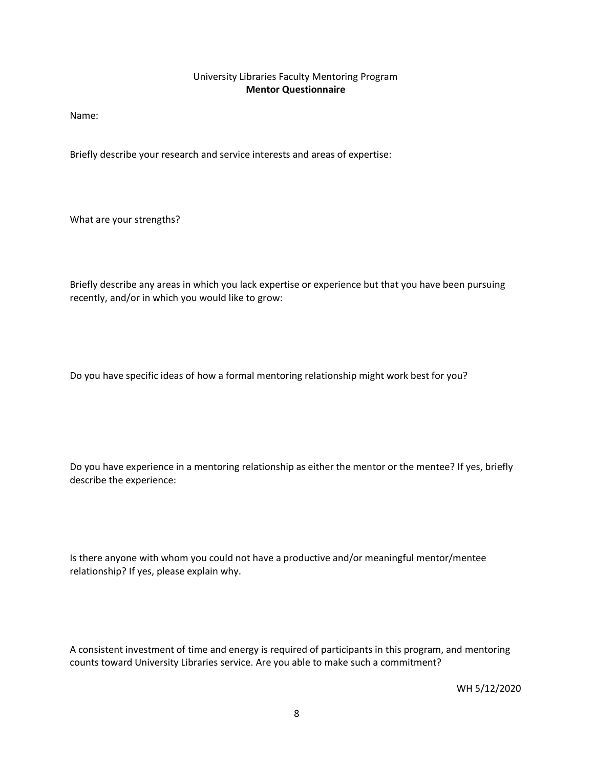## University Libraries Faculty Mentoring Program **Mentor Questionnaire**

Name:

Briefly describe your research and service interests and areas of expertise:

What are your strengths?

Briefly describe any areas in which you lack expertise or experience but that you have been pursuing recently, and/or in which you would like to grow:

Do you have specific ideas of how a formal mentoring relationship might work best for you?

Do you have experience in a mentoring relationship as either the mentor or the mentee? If yes, briefly describe the experience:

Is there anyone with whom you could not have a productive and/or meaningful mentor/mentee relationship? If yes, please explain why.

A consistent investment of time and energy is required of participants in this program, and mentoring counts toward University Libraries service. Are you able to make such a commitment?

WH 5/12/2020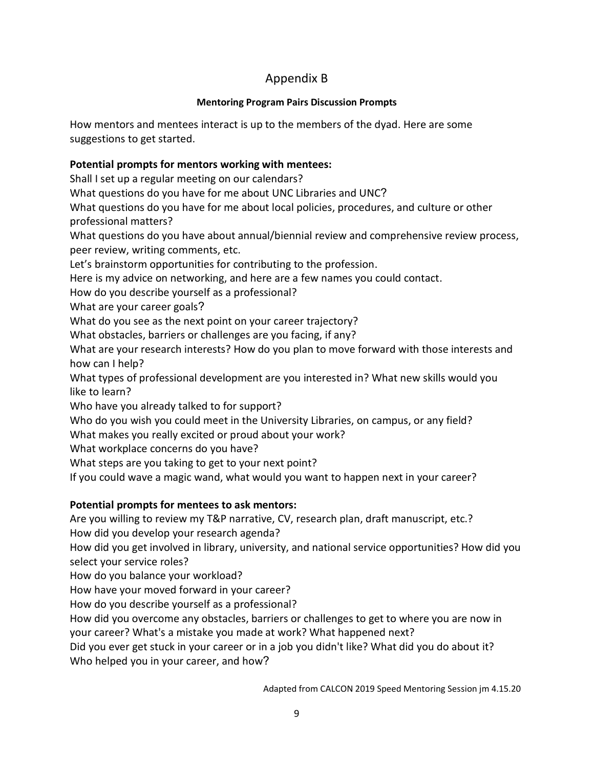# Appendix B

## **Mentoring Program Pairs Discussion Prompts**

How mentors and mentees interact is up to the members of the dyad. Here are some suggestions to get started.

## **Potential prompts for mentors working with mentees:**

Shall I set up a regular meeting on our calendars?

What questions do you have for me about UNC Libraries and UNC?

What questions do you have for me about local policies, procedures, and culture or other professional matters?

What questions do you have about annual/biennial review and comprehensive review process, peer review, writing comments, etc.

Let's brainstorm opportunities for contributing to the profession.

Here is my advice on networking, and here are a few names you could contact.

How do you describe yourself as a professional?

What are your career goals?

What do you see as the next point on your career trajectory?

What obstacles, barriers or challenges are you facing, if any?

What are your research interests? How do you plan to move forward with those interests and how can I help?

What types of professional development are you interested in? What new skills would you like to learn?

Who have you already talked to for support?

Who do you wish you could meet in the University Libraries, on campus, or any field?

What makes you really excited or proud about your work?

What workplace concerns do you have?

What steps are you taking to get to your next point?

If you could wave a magic wand, what would you want to happen next in your career?

## **Potential prompts for mentees to ask mentors:**

Are you willing to review my T&P narrative, CV, research plan, draft manuscript, etc.? How did you develop your research agenda?

How did you get involved in library, university, and national service opportunities? How did you select your service roles?

How do you balance your workload?

How have your moved forward in your career?

How do you describe yourself as a professional?

How did you overcome any obstacles, barriers or challenges to get to where you are now in your career? What's a mistake you made at work? What happened next?

Did you ever get stuck in your career or in a job you didn't like? What did you do about it? Who helped you in your career, and how?

Adapted from CALCON 2019 Speed Mentoring Session jm 4.15.20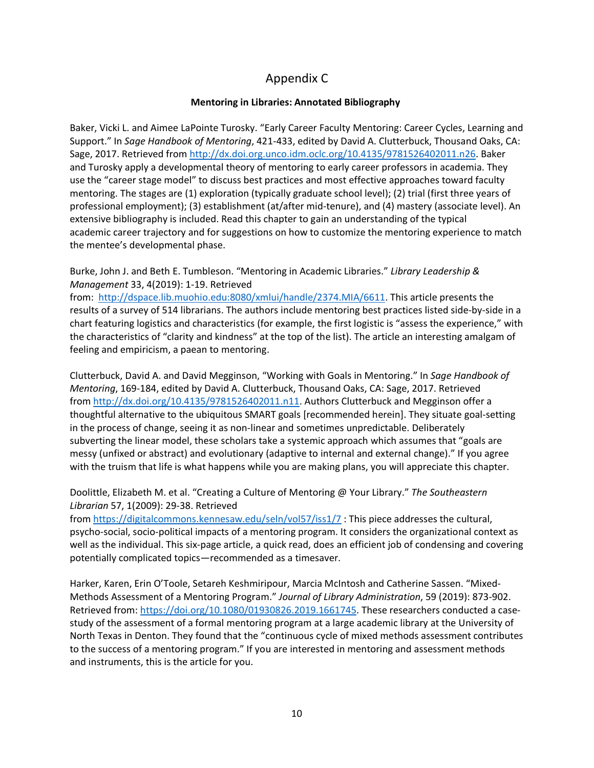# Appendix C

## **Mentoring in Libraries: Annotated Bibliography**

Baker, Vicki L. and Aimee LaPointe Turosky. "Early Career Faculty Mentoring: Career Cycles, Learning and Support." In *Sage Handbook of Mentoring*, 421-433, edited by David A. Clutterbuck, Thousand Oaks, CA: Sage, 2017. Retrieved from [http://dx.doi.org.unco.idm.oclc.org/10.4135/9781526402011.n26.](http://dx.doi.org.unco.idm.oclc.org/10.4135/9781526402011.n26) Baker and Turosky apply a developmental theory of mentoring to early career professors in academia. They use the "career stage model" to discuss best practices and most effective approaches toward faculty mentoring. The stages are (1) exploration (typically graduate school level); (2) trial (first three years of professional employment); (3) establishment (at/after mid-tenure), and (4) mastery (associate level). An extensive bibliography is included. Read this chapter to gain an understanding of the typical academic career trajectory and for suggestions on how to customize the mentoring experience to match the mentee's developmental phase.

Burke, John J. and Beth E. Tumbleson. "Mentoring in Academic Libraries." *Library Leadership & Management* 33, 4(2019): 1-19. Retrieved

from: [http://dspace.lib.muohio.edu:8080/xmlui/handle/2374.MIA/6611.](http://dspace.lib.muohio.edu:8080/xmlui/handle/2374.MIA/6611) This article presents the results of a survey of 514 librarians. The authors include mentoring best practices listed side-by-side in a chart featuring logistics and characteristics (for example, the first logistic is "assess the experience," with the characteristics of "clarity and kindness" at the top of the list). The article an interesting amalgam of feeling and empiricism, a paean to mentoring.

Clutterbuck, David A. and David Megginson, "Working with Goals in Mentoring." In *Sage Handbook of Mentoring*, 169-184, edited by David A. Clutterbuck, Thousand Oaks, CA: Sage, 2017. Retrieved from [http://dx.doi.org/10.4135/9781526402011.n11.](http://dx.doi.org/10.4135/9781526402011.n11) Authors Clutterbuck and Megginson offer a thoughtful alternative to the ubiquitous SMART goals [recommended herein]. They situate goal-setting in the process of change, seeing it as non-linear and sometimes unpredictable. Deliberately subverting the linear model, these scholars take a systemic approach which assumes that "goals are messy (unfixed or abstract) and evolutionary (adaptive to internal and external change)." If you agree with the truism that life is what happens while you are making plans, you will appreciate this chapter.

## Doolittle, Elizabeth M. et al. "Creating a Culture of Mentoring @ Your Library." *The Southeastern Librarian* 57, 1(2009): 29-38. Retrieved

from <https://digitalcommons.kennesaw.edu/seln/vol57/iss1/7>: This piece addresses the cultural, psycho-social, socio-political impacts of a mentoring program. It considers the organizational context as well as the individual. This six-page article, a quick read, does an efficient job of condensing and covering potentially complicated topics—recommended as a timesaver.

Harker, Karen, Erin O'Toole, Setareh Keshmiripour, Marcia McIntosh and Catherine Sassen. "Mixed-Methods Assessment of a Mentoring Program." *Journal of Library Administration*, 59 (2019): 873-902. Retrieved from: [https://doi.org/10.1080/01930826.2019.1661745.](https://doi.org/10.1080/01930826.2019.1661745) These researchers conducted a casestudy of the assessment of a formal mentoring program at a large academic library at the University of North Texas in Denton. They found that the "continuous cycle of mixed methods assessment contributes to the success of a mentoring program." If you are interested in mentoring and assessment methods and instruments, this is the article for you.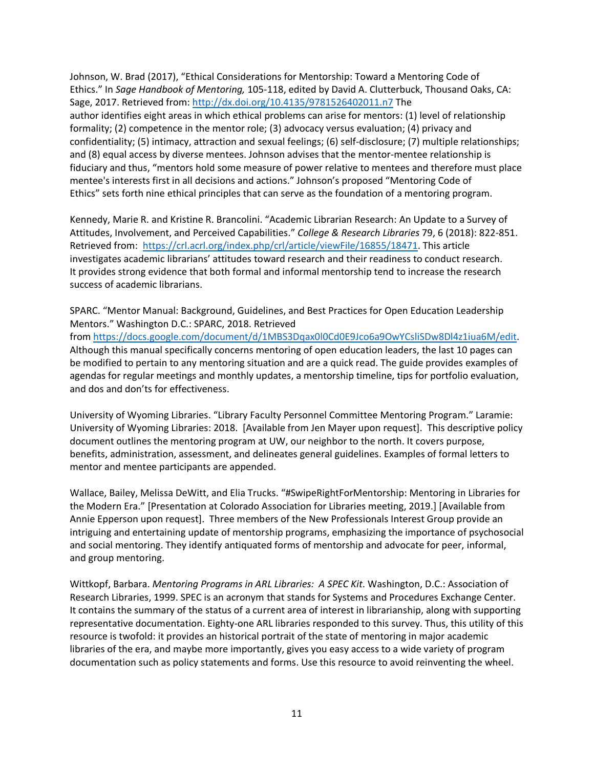Johnson, W. Brad (2017), "Ethical Considerations for Mentorship: Toward a Mentoring Code of Ethics." In *Sage Handbook of Mentoring,* 105-118, edited by David A. Clutterbuck, Thousand Oaks, CA: Sage, 2017. Retrieved from: <http://dx.doi.org/10.4135/9781526402011.n7> The author identifies eight areas in which ethical problems can arise for mentors: (1) level of relationship formality; (2) competence in the mentor role; (3) advocacy versus evaluation; (4) privacy and confidentiality; (5) intimacy, attraction and sexual feelings; (6) self-disclosure; (7) multiple relationships; and (8) equal access by diverse mentees. Johnson advises that the mentor-mentee relationship is fiduciary and thus, "mentors hold some measure of power relative to mentees and therefore must place mentee's interests first in all decisions and actions." Johnson's proposed "Mentoring Code of Ethics" sets forth nine ethical principles that can serve as the foundation of a mentoring program.

Kennedy, Marie R. and Kristine R. Brancolini. "Academic Librarian Research: An Update to a Survey of Attitudes, Involvement, and Perceived Capabilities." *College & Research Libraries* 79, 6 (2018): 822-851. Retrieved from: [https://crl.acrl.org/index.php/crl/article/viewFile/16855/18471.](https://crl.acrl.org/index.php/crl/article/viewFile/16855/18471) This article investigates academic librarians' attitudes toward research and their readiness to conduct research. It provides strong evidence that both formal and informal mentorship tend to increase the research success of academic librarians.

SPARC. "Mentor Manual: Background, Guidelines, and Best Practices for Open Education Leadership Mentors." Washington D.C.: SPARC, 2018. Retrieved from [https://docs.google.com/document/d/1MBS3Dqax0l0Cd0E9Jco6a9OwYCsliSDw8Dl4z1iua6M/edit.](https://nam02.safelinks.protection.outlook.com/?url=https%3A%2F%2Fdocs.google.com%2Fdocument%2Fd%2F1MBS3Dqax0l0Cd0E9Jco6a9OwYCsliSDw8Dl4z1iua6M%2Fedit&data=02%7C01%7CWendy.Highby%40unco.edu%7C7ae0cbea68a44038074308d7f5d05669%7Cb4dce27cd088445499652b59a23ea171%7C0%7C0%7C637248147459518057&sdata=%2FOP3tXlIg0QKdZ2sPUfPpyLwGl5RLrQ%2BvnCgkbygBGU%3D&reserved=0) Although this manual specifically concerns mentoring of open education leaders, the last 10 pages can be modified to pertain to any mentoring situation and are a quick read. The guide provides examples of agendas for regular meetings and monthly updates, a mentorship timeline, tips for portfolio evaluation, and dos and don'ts for effectiveness.

University of Wyoming Libraries. "Library Faculty Personnel Committee Mentoring Program." Laramie: University of Wyoming Libraries: 2018. [Available from Jen Mayer upon request]. This descriptive policy document outlines the mentoring program at UW, our neighbor to the north. It covers purpose, benefits, administration, assessment, and delineates general guidelines. Examples of formal letters to mentor and mentee participants are appended.

Wallace, Bailey, Melissa DeWitt, and Elia Trucks. "#SwipeRightForMentorship: Mentoring in Libraries for the Modern Era." [Presentation at Colorado Association for Libraries meeting, 2019.] [Available from Annie Epperson upon request]. Three members of the New Professionals Interest Group provide an intriguing and entertaining update of mentorship programs, emphasizing the importance of psychosocial and social mentoring. They identify antiquated forms of mentorship and advocate for peer, informal, and group mentoring.

Wittkopf, Barbara. *Mentoring Programs in ARL Libraries: A SPEC Kit*. Washington, D.C.: Association of Research Libraries, 1999. SPEC is an acronym that stands for Systems and Procedures Exchange Center. It contains the summary of the status of a current area of interest in librarianship, along with supporting representative documentation. Eighty-one ARL libraries responded to this survey. Thus, this utility of this resource is twofold: it provides an historical portrait of the state of mentoring in major academic libraries of the era, and maybe more importantly, gives you easy access to a wide variety of program documentation such as policy statements and forms. Use this resource to avoid reinventing the wheel.